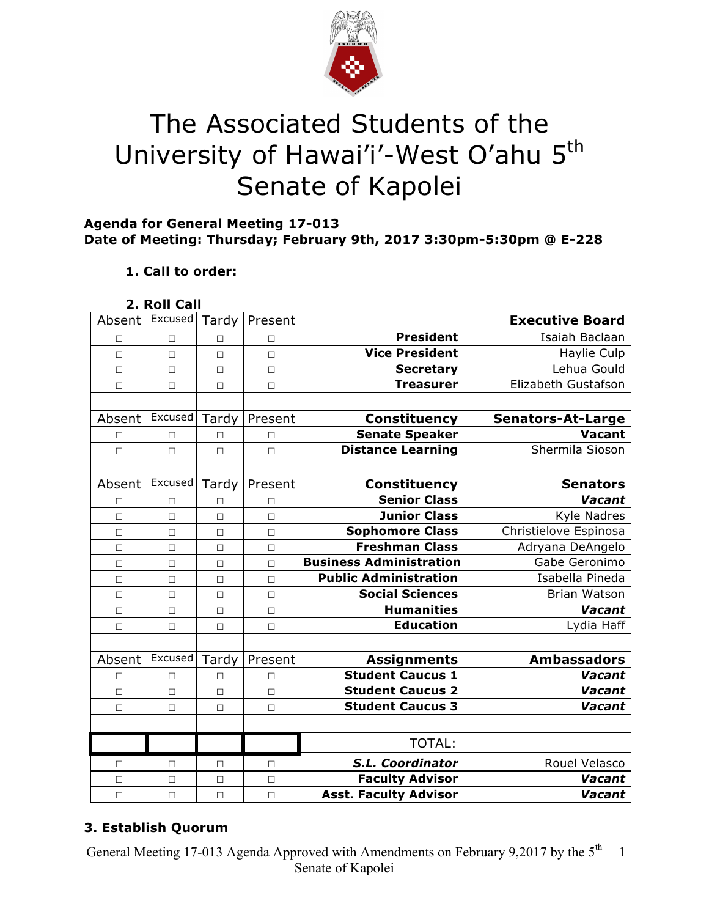

# The Associated Students of the University of Hawai'i'-West O'ahu 5<sup>th</sup> Senate of Kapolei

# **Agenda for General Meeting 17-013 Date of Meeting: Thursday; February 9th, 2017 3:30pm-5:30pm @ E-228**

# **1. Call to order:**

# **2. Roll Call**

| Absent | Excused | Tardy  | Present |                                | <b>Executive Board</b>   |
|--------|---------|--------|---------|--------------------------------|--------------------------|
| П      | $\Box$  | $\Box$ | $\Box$  | <b>President</b>               | Isaiah Baclaan           |
| $\Box$ | $\Box$  | $\Box$ | $\Box$  | <b>Vice President</b>          | Haylie Culp              |
| $\Box$ | $\Box$  | $\Box$ | $\Box$  | <b>Secretary</b>               | Lehua Gould              |
| $\Box$ | $\Box$  | $\Box$ | $\Box$  | <b>Treasurer</b>               | Elizabeth Gustafson      |
|        |         |        |         |                                |                          |
| Absent | Excused | Tardy  | Present | <b>Constituency</b>            | <b>Senators-At-Large</b> |
| □      | П       | $\Box$ | $\Box$  | <b>Senate Speaker</b>          | <b>Vacant</b>            |
| $\Box$ | $\Box$  | $\Box$ | $\Box$  | <b>Distance Learning</b>       | Shermila Sioson          |
|        |         |        |         |                                |                          |
| Absent | Excused | Tardy  | Present | <b>Constituency</b>            | <b>Senators</b>          |
| $\Box$ | П       | $\Box$ | $\Box$  | <b>Senior Class</b>            | Vacant                   |
| $\Box$ | $\Box$  | $\Box$ | $\Box$  | <b>Junior Class</b>            | Kyle Nadres              |
| $\Box$ | $\Box$  | $\Box$ | $\Box$  | <b>Sophomore Class</b>         | Christielove Espinosa    |
| $\Box$ | $\Box$  | $\Box$ | $\Box$  | <b>Freshman Class</b>          | Adryana DeAngelo         |
| $\Box$ | $\Box$  | $\Box$ | $\Box$  | <b>Business Administration</b> | Gabe Geronimo            |
| П      | $\Box$  | $\Box$ | $\Box$  | <b>Public Administration</b>   | Isabella Pineda          |
| $\Box$ | $\Box$  | $\Box$ | $\Box$  | <b>Social Sciences</b>         | <b>Brian Watson</b>      |
| $\Box$ | $\Box$  | $\Box$ | $\Box$  | <b>Humanities</b>              | Vacant                   |
| $\Box$ | $\Box$  | $\Box$ | $\Box$  | <b>Education</b>               | Lydia Haff               |
|        |         |        |         |                                |                          |
| Absent | Excused | Tardy  | Present | <b>Assignments</b>             | <b>Ambassadors</b>       |
| $\Box$ | $\Box$  | $\Box$ | $\Box$  | <b>Student Caucus 1</b>        | Vacant                   |
| $\Box$ | $\Box$  | $\Box$ | $\Box$  | <b>Student Caucus 2</b>        | Vacant                   |
| $\Box$ | $\Box$  | $\Box$ | $\Box$  | <b>Student Caucus 3</b>        | Vacant                   |
|        |         |        |         |                                |                          |
|        |         |        |         | <b>TOTAL:</b>                  |                          |
| □      | □       | $\Box$ | $\Box$  | S.L. Coordinator               | Rouel Velasco            |
| $\Box$ | $\Box$  | $\Box$ | $\Box$  | <b>Faculty Advisor</b>         | Vacant                   |
| $\Box$ | $\Box$  | $\Box$ | $\Box$  | <b>Asst. Faculty Advisor</b>   | Vacant                   |

# **3. Establish Quorum**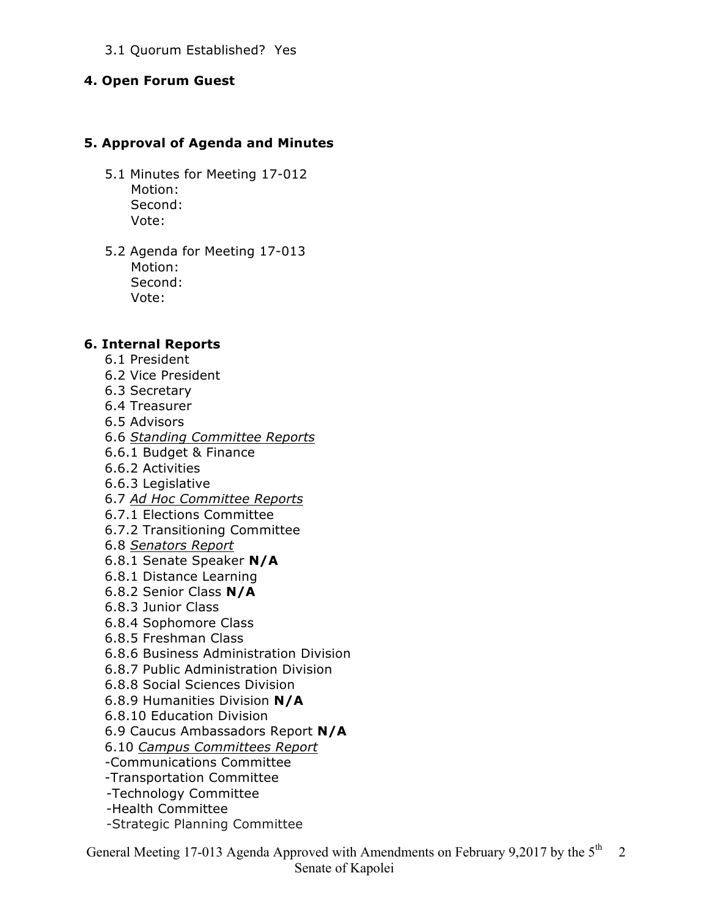### 3.1 Quorum Established? Yes

#### **4. Open Forum Guest**

### **5. Approval of Agenda and Minutes**

- 5.1 Minutes for Meeting 17-012 Motion: Second: Vote:
- 5.2 Agenda for Meeting 17-013 Motion: Second: Vote:

#### **6. Internal Reports**

- 6.1 President
- 6.2 Vice President
- 6.3 Secretary
- 6.4 Treasurer
- 6.5 Advisors
- 6.6 *Standing Committee Reports*
- 6.6.1 Budget & Finance
- 6.6.2 Activities
- 6.6.3 Legislative
- 6.7 *Ad Hoc Committee Reports*
- 6.7.1 Elections Committee
- 6.7.2 Transitioning Committee
- 6.8 *Senators Report*
- 6.8.1 Senate Speaker **N/A**
- 6.8.1 Distance Learning
- 6.8.2 Senior Class **N/A**
- 6.8.3 Junior Class
- 6.8.4 Sophomore Class
- 6.8.5 Freshman Class
- 6.8.6 Business Administration Division
- 6.8.7 Public Administration Division
- 6.8.8 Social Sciences Division
- 6.8.9 Humanities Division **N/A**
- 6.8.10 Education Division
- 6.9 Caucus Ambassadors Report **N/A**
- 6.10 *Campus Committees Report*
- -Communications Committee
- -Transportation Committee
- -Technology Committee
- -Health Committee
- -Strategic Planning Committee